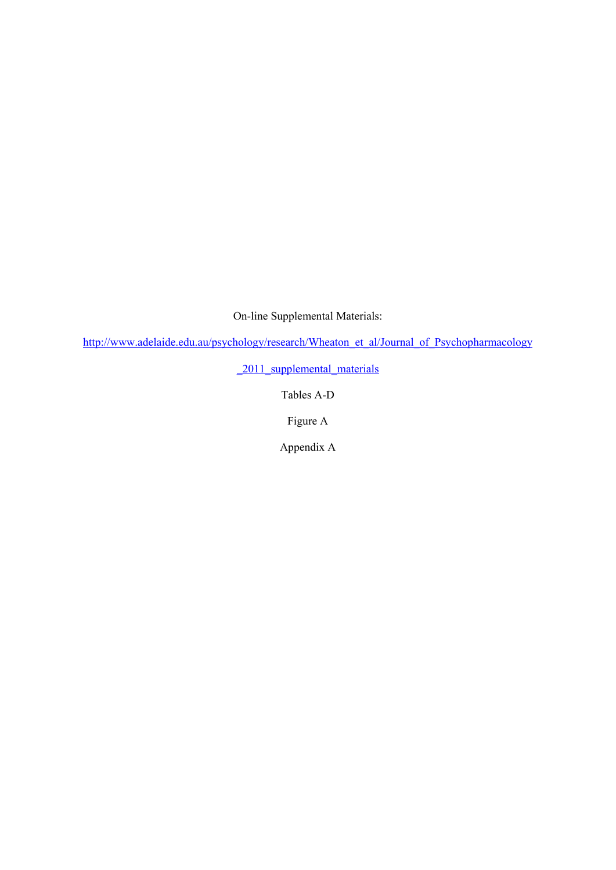On-line Supplemental Materials:

http://www.adelaide.edu.au/psychology/research/Wheaton\_et\_al/Journal\_of\_Psychopharmacology

\_2011\_supplemental\_materials

Tables A-D

Figure A

Appendix A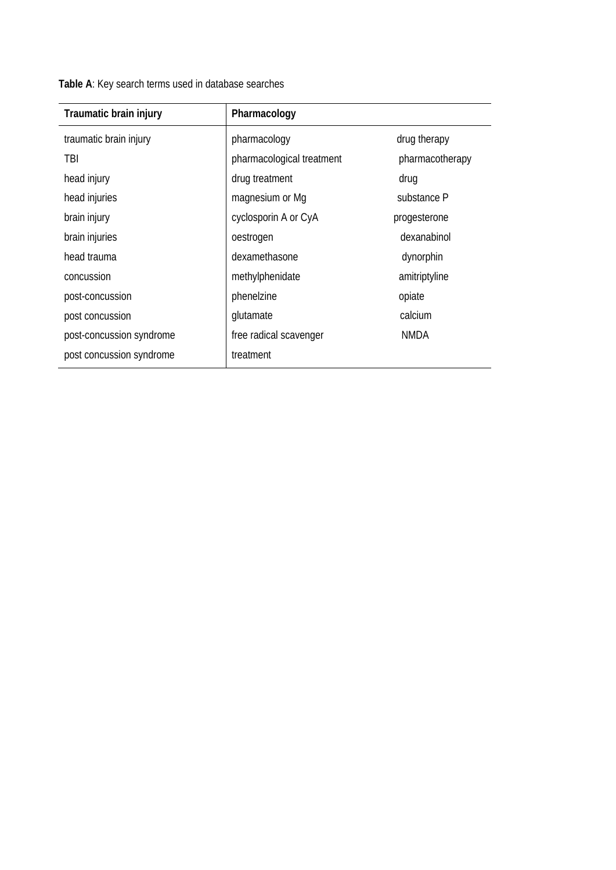**Table A**: Key search terms used in database searches

| Traumatic brain injury   | Pharmacology              |                 |
|--------------------------|---------------------------|-----------------|
| traumatic brain injury   | pharmacology              | drug therapy    |
| TBI                      | pharmacological treatment | pharmacotherapy |
| head injury              | drug treatment            | drug            |
| head injuries            | magnesium or Mq           | substance P     |
| brain injury             | cyclosporin A or CyA      | progesterone    |
| brain injuries           | oestrogen                 | dexanabinol     |
| head trauma              | dexamethasone             | dynorphin       |
| concussion               | methylphenidate           | amitriptyline   |
| post-concussion          | phenelzine                | opiate          |
| post concussion          | glutamate                 | calcium         |
| post-concussion syndrome | free radical scavenger    | <b>NMDA</b>     |
| post concussion syndrome | treatment                 |                 |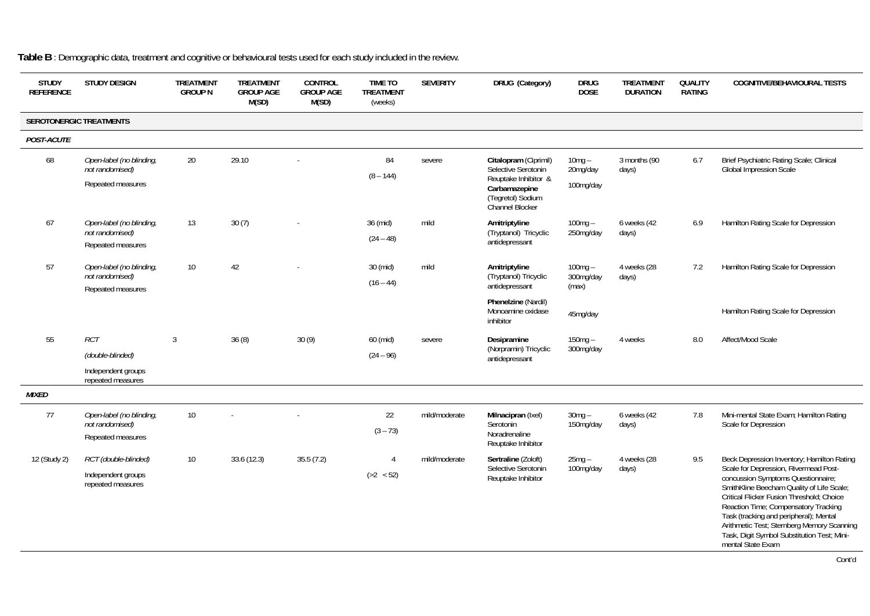| <b>STUDY</b><br><b>REFERENCE</b> | <b>STUDY DESIGN</b>                         | <b>TREATMENT</b><br><b>GROUP N</b> | <b>TREATMENT</b><br><b>GROUP AGE</b><br>M(SD) | CONTROL<br><b>GROUP AGE</b><br>M(SD) | <b>TIME TO</b><br><b>TREATMENT</b><br>(weeks) | <b>SEVERITY</b> | DRUG (Category)                                                        | <b>DRUG</b><br><b>DOSE</b> | <b>TREATMENT</b><br><b>DURATION</b> | <b>QUALITY</b><br>RATING | <b>COGNITIVE/BEHAVIOURAL TESTS</b>                                                                                                                                                                                                                                                                                                                                        |
|----------------------------------|---------------------------------------------|------------------------------------|-----------------------------------------------|--------------------------------------|-----------------------------------------------|-----------------|------------------------------------------------------------------------|----------------------------|-------------------------------------|--------------------------|---------------------------------------------------------------------------------------------------------------------------------------------------------------------------------------------------------------------------------------------------------------------------------------------------------------------------------------------------------------------------|
|                                  | <b>SEROTONERGIC TREATMENTS</b>              |                                    |                                               |                                      |                                               |                 |                                                                        |                            |                                     |                          |                                                                                                                                                                                                                                                                                                                                                                           |
| POST-ACUTE                       |                                             |                                    |                                               |                                      |                                               |                 |                                                                        |                            |                                     |                          |                                                                                                                                                                                                                                                                                                                                                                           |
| 68                               | Open-label (no blinding,<br>not randomised) | 20                                 | 29.10                                         |                                      | 84<br>$(8 - 144)$                             | severe          | Citalopram (Ciprimil)<br>Selective Serotonin<br>Reuptake Inhibitor &   | $10mg -$<br>20mg/day       | 3 months (90<br>days)               | 6.7                      | Brief Psychiatric Rating Scale; Clinical<br><b>Global Impression Scale</b>                                                                                                                                                                                                                                                                                                |
|                                  | Repeated measures                           |                                    |                                               |                                      |                                               |                 | Carbamazepine<br>(Tegretol) Sodium<br><b>Channel Blocker</b>           | 100mg/day                  |                                     |                          |                                                                                                                                                                                                                                                                                                                                                                           |
| 67                               | Open-label (no blinding,<br>not randomised) | 13                                 | 30(7)                                         |                                      | 36 (mid)<br>$(24 - 48)$                       | mild            | Amitriptyline<br>(Tryptanol) Tricyclic<br>antidepressant               | $100mg -$<br>250mg/day     | 6 weeks (42<br>days)                | 6.9                      | Hamilton Rating Scale for Depression                                                                                                                                                                                                                                                                                                                                      |
|                                  | Repeated measures                           |                                    |                                               |                                      |                                               |                 |                                                                        |                            |                                     |                          |                                                                                                                                                                                                                                                                                                                                                                           |
| 57                               | Open-label (no blinding,<br>not randomised) | 10 <sup>°</sup>                    | 42                                            |                                      | 30 (mid)                                      | mild            | Amitriptyline                                                          | $100mg -$<br>300mg/day     | 4 weeks (28                         | 7.2                      | Hamilton Rating Scale for Depression                                                                                                                                                                                                                                                                                                                                      |
|                                  | Repeated measures                           |                                    |                                               |                                      | $(16 - 44)$                                   |                 | (Tryptanol) Tricyclic<br>antidepressant                                | (max)                      | days)                               |                          |                                                                                                                                                                                                                                                                                                                                                                           |
|                                  |                                             |                                    |                                               |                                      |                                               |                 | Phenelzine (Nardil)<br>Monoamine oxidase<br>inhibitor                  | 45mg/day                   |                                     |                          | Hamilton Rating Scale for Depression                                                                                                                                                                                                                                                                                                                                      |
| 55                               | RCT                                         | 3                                  | 36(8)                                         | 30(9)                                | 60 (mid)                                      | severe          | Desipramine                                                            | $150mg -$                  | 4 weeks                             | 8.0                      | Affect/Mood Scale                                                                                                                                                                                                                                                                                                                                                         |
|                                  | (double-blinded)                            |                                    |                                               |                                      | $(24 - 96)$                                   |                 | (Norpramin) Tricyclic<br>antidepressant                                | 300mg/day                  |                                     |                          |                                                                                                                                                                                                                                                                                                                                                                           |
|                                  | Independent groups<br>repeated measures     |                                    |                                               |                                      |                                               |                 |                                                                        |                            |                                     |                          |                                                                                                                                                                                                                                                                                                                                                                           |
| <b>MIXED</b>                     |                                             |                                    |                                               |                                      |                                               |                 |                                                                        |                            |                                     |                          |                                                                                                                                                                                                                                                                                                                                                                           |
| 77                               | Open-label (no blinding,                    | 10 <sup>°</sup>                    |                                               |                                      | 22                                            | mild/moderate   | Milnacipran (Ixel)                                                     | $30$ mg $-$                | 6 weeks (42                         | 7.8                      | Mini-mental State Exam; Hamilton Rating                                                                                                                                                                                                                                                                                                                                   |
|                                  | not randomised)<br>Repeated measures        |                                    |                                               |                                      | $(3 - 73)$                                    |                 | Serotonin<br>150mg/day<br>days)<br>Noradrenaline<br>Reuptake Inhibitor |                            | Scale for Depression                |                          |                                                                                                                                                                                                                                                                                                                                                                           |
| 12 (Study 2)                     | RCT (double-blinded)                        | 10 <sup>°</sup>                    | 33.6 (12.3)                                   | 35.5(7.2)                            | $\overline{4}$                                | mild/moderate   | Sertraline (Zoloft)                                                    | $25mg -$                   | 4 weeks (28                         | 9.5                      | Beck Depression Inventory; Hamilton Rating                                                                                                                                                                                                                                                                                                                                |
|                                  | Independent groups<br>repeated measures     |                                    |                                               |                                      | ( >2 < 52)                                    |                 | Selective Serotonin<br>Reuptake Inhibitor                              |                            | 100mg/day<br>days)                  |                          | Scale for Depression, Rivermead Post-<br>concussion Symptoms Questionnaire;<br>SmithKline Beecham Quality of Life Scale;<br>Critical Flicker Fusion Threshold: Choice<br>Reaction Time; Compensatory Tracking<br>Task (tracking and peripheral); Mental<br>Arithmetic Test; Sternberg Memory Scanning<br>Task, Digit Symbol Substitution Test; Mini-<br>mental State Exam |

**Table B** : Demographic data, treatment and cognitive or behavioural tests used for each study included in the review.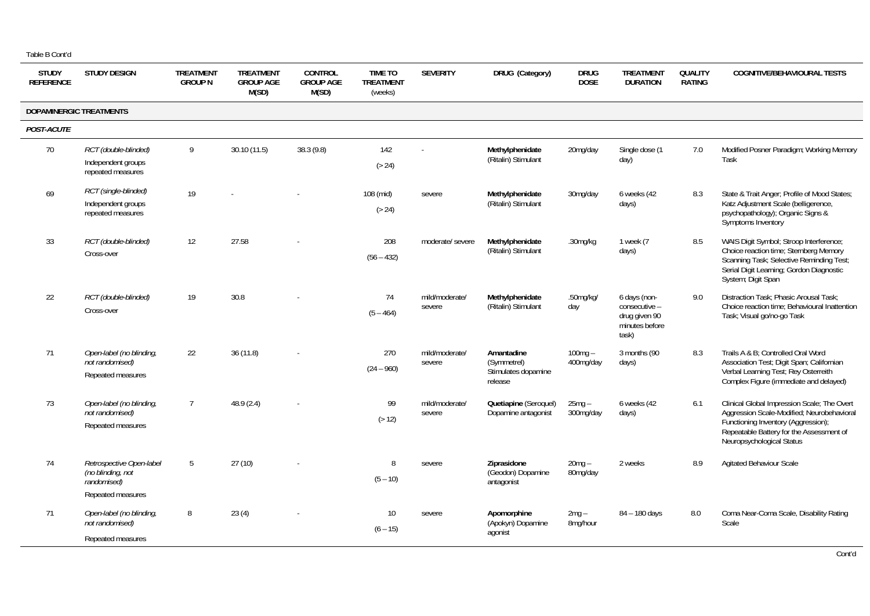| <b>STUDY</b><br><b>REFERENCE</b> | <b>STUDY DESIGN</b>                                                               | <b>TREATMENT</b><br><b>GROUP N</b> | <b>TREATMENT</b><br><b>GROUP AGE</b><br>M(SD) | <b>CONTROL</b><br><b>GROUP AGE</b><br>M(SD) | <b>TIME TO</b><br><b>TREATMENT</b><br>(weeks) | <b>SEVERITY</b>          | DRUG (Category)<br><b>DRUG</b><br><b>TREATMENT</b><br><b>QUALITY</b><br><b>DOSE</b><br><b>RATING</b><br><b>DURATION</b> |                        | <b>COGNITIVE/BEHAVIOURAL TESTS</b>                                        |     |                                                                                                                                                                                                           |
|----------------------------------|-----------------------------------------------------------------------------------|------------------------------------|-----------------------------------------------|---------------------------------------------|-----------------------------------------------|--------------------------|-------------------------------------------------------------------------------------------------------------------------|------------------------|---------------------------------------------------------------------------|-----|-----------------------------------------------------------------------------------------------------------------------------------------------------------------------------------------------------------|
|                                  | DOPAMINERGIC TREATMENTS                                                           |                                    |                                               |                                             |                                               |                          |                                                                                                                         |                        |                                                                           |     |                                                                                                                                                                                                           |
| POST-ACUTE                       |                                                                                   |                                    |                                               |                                             |                                               |                          |                                                                                                                         |                        |                                                                           |     |                                                                                                                                                                                                           |
| 70                               | RCT (double-blinded)<br>Independent groups<br>repeated measures                   | 9                                  | 30.10 (11.5)                                  | 38.3 (9.8)                                  | 142<br>( > 24)                                |                          | Methylphenidate<br>(Ritalin) Stimulant                                                                                  | 20mg/day               | Single dose (1<br>day)                                                    | 7.0 | Modified Posner Paradigm; Working Memory<br>Task                                                                                                                                                          |
| 69                               | RCT (single-blinded)<br>Independent groups<br>repeated measures                   | 19                                 |                                               |                                             | 108 (mid)<br>( > 24)                          | severe                   | Methylphenidate<br>(Ritalin) Stimulant                                                                                  | 30mg/day               | 6 weeks (42<br>days)                                                      | 8.3 | State & Trait Anger; Profile of Mood States;<br>Katz Adjustment Scale (belligerence,<br>psychopathology); Organic Signs &<br>Symptoms Inventory                                                           |
| 33                               | RCT (double-blinded)<br>Cross-over                                                | 12                                 | 27.58                                         |                                             | 208<br>$(56 - 432)$                           | moderate/ severe         | Methylphenidate<br>(Ritalin) Stimulant                                                                                  | .30mg/kg               | 1 week (7<br>days)                                                        | 8.5 | WAIS Digit Symbol; Stroop Interference;<br>Choice reaction time; Sternberg Memory<br>Scanning Task; Selective Reminding Test;<br>Serial Digit Learning; Gordon Diagnostic<br>System; Digit Span           |
| 22                               | RCT (double-blinded)<br>Cross-over                                                | 19                                 | 30.8                                          |                                             | 74<br>$(5 - 464)$                             | mild/moderate/<br>severe | Methylphenidate<br>(Ritalin) Stimulant                                                                                  | .50mg/kg/<br>day       | 6 days (non-<br>consecutive -<br>drug given 90<br>minutes before<br>task) | 9.0 | Distraction Task; Phasic Arousal Task;<br>Choice reaction time: Behavioural Inattention<br>Task; Visual go/no-go Task                                                                                     |
| 71                               | Open-label (no blinding,<br>not randomised)<br>Repeated measures                  | 22                                 | 36(11.8)                                      |                                             | 270<br>$(24 - 960)$                           | mild/moderate/<br>severe | Amantadine<br>(Symmetrel)<br>Stimulates dopamine<br>release                                                             | $100mg -$<br>400mg/day | 3 months (90<br>days)                                                     | 8.3 | Trails A & B: Controlled Oral Word<br>Association Test; Digit Span; Californian<br>Verbal Learning Test; Rey Osterreith<br>Complex Figure (immediate and delayed)                                         |
| 73                               | Open-label (no blinding,<br>not randomised)<br>Repeated measures                  | $\overline{7}$                     | 48.9 (2.4)                                    |                                             | 99<br>( > 12)                                 | mild/moderate/<br>severe | Quetiapine (Seroquel)<br>Dopamine antagonist                                                                            | $25mg -$<br>300mg/day  | 6 weeks (42<br>days)                                                      | 6.1 | Clinical Global Impression Scale; The Overt<br>Aggression Scale-Modified; Neurobehavioral<br>Functioning Inventory (Aggression);<br>Repeatable Battery for the Assessment of<br>Neuropsychological Status |
| 74                               | Retrospective Open-label<br>(no blinding, not<br>randomised)<br>Repeated measures | 5                                  | 27(10)                                        |                                             | 8<br>$(5 - 10)$                               | severe                   | Ziprasidone<br>(Geodon) Dopamine<br>antagonist                                                                          | $20mg -$<br>80mg/day   | 2 weeks                                                                   | 8.9 | Agitated Behaviour Scale                                                                                                                                                                                  |
| 71                               | Open-label (no blinding,<br>not randomised)<br>Repeated measures                  | 8                                  | 23(4)                                         |                                             | 10 <sup>°</sup><br>$(6 - 15)$                 | severe                   | Apomorphine<br>(Apokyn) Dopamine<br>agonist                                                                             | $2mg -$<br>8mg/hour    | 84 - 180 days                                                             | 8.0 | Coma Near-Coma Scale, Disability Rating<br>Scale                                                                                                                                                          |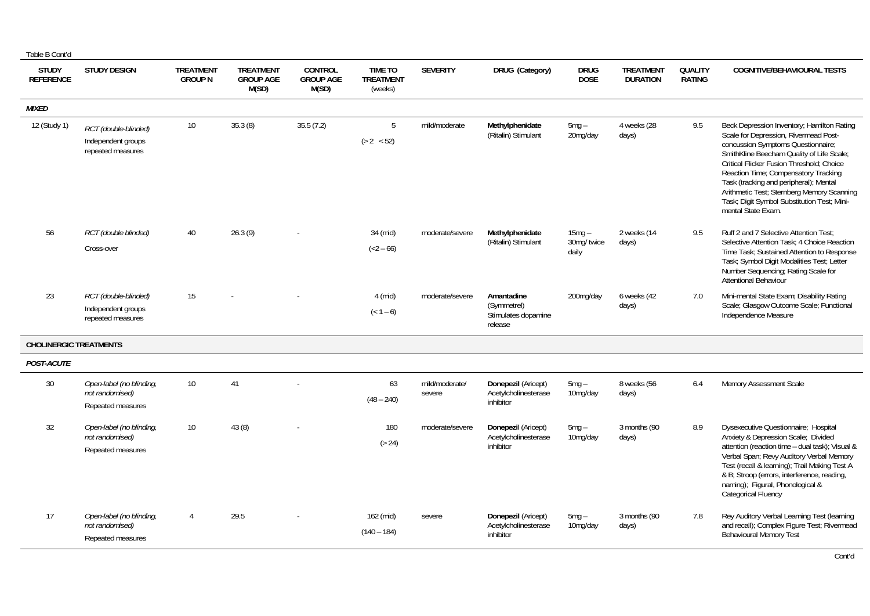|--|

| <b>STUDY</b><br><b>REFERENCE</b> | <b>STUDY DESIGN</b>                                              | <b>TREATMENT</b><br><b>GROUP N</b> | <b>TREATMENT</b><br><b>GROUP AGE</b><br>M(SD) | <b>CONTROL</b><br><b>GROUP AGE</b><br>M(SD) | <b>TIME TO</b><br><b>TREATMENT</b><br>(weeks) | <b>SEVERITY</b>          | DRUG (Category)                                             | <b>DRUG</b><br><b>DOSE</b>      | <b>TREATMENT</b><br><b>DURATION</b> | QUALITY<br><b>RATING</b> | <b>COGNITIVE/BEHAVIOURAL TESTS</b>                                                                                                                                                                                                                                                                                                                                                                                       |
|----------------------------------|------------------------------------------------------------------|------------------------------------|-----------------------------------------------|---------------------------------------------|-----------------------------------------------|--------------------------|-------------------------------------------------------------|---------------------------------|-------------------------------------|--------------------------|--------------------------------------------------------------------------------------------------------------------------------------------------------------------------------------------------------------------------------------------------------------------------------------------------------------------------------------------------------------------------------------------------------------------------|
| <b>MIXED</b>                     |                                                                  |                                    |                                               |                                             |                                               |                          |                                                             |                                 |                                     |                          |                                                                                                                                                                                                                                                                                                                                                                                                                          |
| 12 (Study 1)                     | RCT (double-blinded)<br>Independent groups<br>repeated measures  | 10                                 | 35.3(8)                                       | 35.5(7.2)                                   | 5<br>(> 2 < 52)                               | mild/moderate            | Methylphenidate<br>(Ritalin) Stimulant                      | $5mg -$<br>20mg/day             | 4 weeks (28<br>days)                | 9.5                      | Beck Depression Inventory; Hamilton Rating<br>Scale for Depression, Rivermead Post-<br>concussion Symptoms Questionnaire;<br>SmithKline Beecham Quality of Life Scale;<br>Critical Flicker Fusion Threshold: Choice<br>Reaction Time; Compensatory Tracking<br>Task (tracking and peripheral); Mental<br>Arithmetic Test; Sternberg Memory Scanning<br>Task; Digit Symbol Substitution Test; Mini-<br>mental State Exam. |
| 56                               | RCT (double blinded)<br>Cross-over                               | 40                                 | 26.3(9)                                       |                                             | 34 (mid)<br>$(<2 - 66)$                       | moderate/severe          | Methylphenidate<br>(Ritalin) Stimulant                      | $15mg -$<br>30mg/twice<br>daily | 2 weeks (14<br>days)                | 9.5                      | Ruff 2 and 7 Selective Attention Test;<br>Selective Attention Task: 4 Choice Reaction<br>Time Task; Sustained Attention to Response<br>Task; Symbol Digit Modalities Test; Letter<br>Number Sequencing; Rating Scale for<br><b>Attentional Behaviour</b>                                                                                                                                                                 |
| 23                               | RCT (double-blinded)<br>Independent groups<br>repeated measures  | 15                                 |                                               |                                             | 4 (mid)<br>$(< 1 - 6)$                        | moderate/severe          | Amantadine<br>(Symmetrel)<br>Stimulates dopamine<br>release | 200mg/day                       | 6 weeks (42<br>days)                | 7.0                      | Mini-mental State Exam; Disability Rating<br>Scale; Glasgow Outcome Scale; Functional<br>Independence Measure                                                                                                                                                                                                                                                                                                            |
| <b>CHOLINERGIC TREATMENTS</b>    |                                                                  |                                    |                                               |                                             |                                               |                          |                                                             |                                 |                                     |                          |                                                                                                                                                                                                                                                                                                                                                                                                                          |
| POST-ACUTE                       |                                                                  |                                    |                                               |                                             |                                               |                          |                                                             |                                 |                                     |                          |                                                                                                                                                                                                                                                                                                                                                                                                                          |
| 30                               | Open-label (no blinding,<br>not randomised)<br>Repeated measures | 10                                 | 41                                            |                                             | 63<br>$(48 - 240)$                            | mild/moderate/<br>severe | Donepezil (Aricept)<br>Acetylcholinesterase<br>inhibitor    | $5mq -$<br>10mg/day             | 8 weeks (56<br>days)                | 6.4                      | Memory Assessment Scale                                                                                                                                                                                                                                                                                                                                                                                                  |
| 32                               | Open-label (no blinding,<br>not randomised)<br>Repeated measures | 10                                 | 43(8)                                         |                                             | 180<br>( > 24)                                | moderate/severe          | Donepezil (Aricept)<br>Acetylcholinesterase<br>inhibitor    | $5mq -$<br>10mg/day             | 3 months (90<br>days)               | 8.9                      | Dysexecutive Questionnaire; Hospital<br>Anxiety & Depression Scale; Divided<br>attention (reaction time - dual task); Visual &<br>Verbal Span; Revy Auditory Verbal Memory<br>Test (recall & learning); Trail Making Test A<br>& B; Stroop (errors, interference, reading,<br>naming); Figural, Phonological &<br>Categorical Fluency                                                                                    |
| 17                               | Open-label (no blinding,<br>not randomised)<br>Repeated measures | $\overline{4}$                     | 29.5                                          |                                             | 162 (mid)<br>$(140 - 184)$                    | severe                   | Donepezil (Aricept)<br>Acetylcholinesterase<br>inhibitor    | $5mg -$<br>10mg/day             | 3 months (90<br>days)               | 7.8                      | Rey Auditory Verbal Learning Test (learning<br>and recall); Complex Figure Test; Rivermead<br>Behavioural Memory Test                                                                                                                                                                                                                                                                                                    |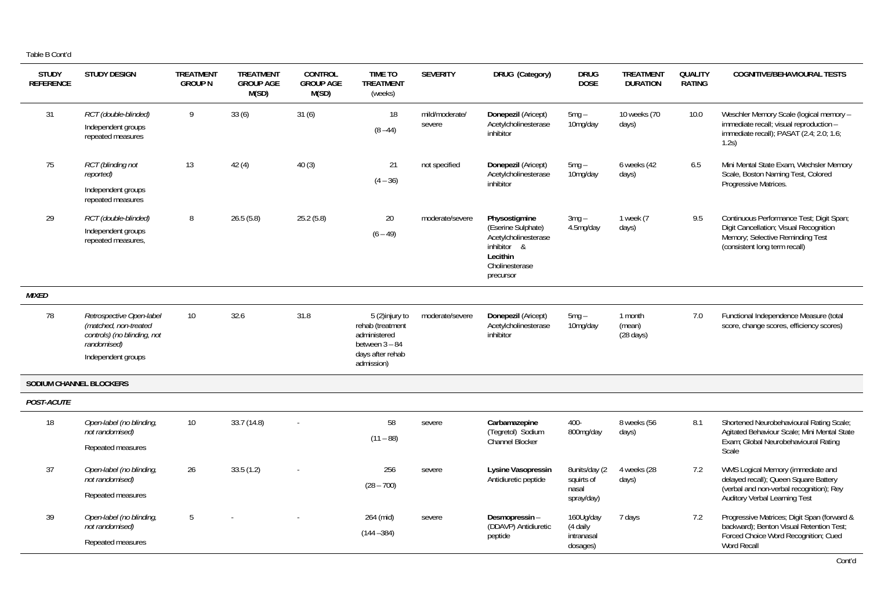| <b>STUDY</b><br><b>REFERENCE</b> | <b>STUDY DESIGN</b>                                                                                                   | <b>TREATMENT</b><br><b>GROUP N</b> | <b>TREATMENT</b><br><b>GROUP AGE</b><br>M(SD) | <b>CONTROL</b><br><b>GROUP AGE</b><br>M(SD) | <b>TIME TO</b><br><b>TREATMENT</b><br>(weeks)                                                            | <b>SEVERITY</b>          | DRUG (Category)                                                                                                       | <b>DRUG</b><br><b>DOSE</b>                         | <b>TREATMENT</b><br><b>DURATION</b>      | <b>QUALITY</b><br><b>RATING</b> | <b>COGNITIVE/BEHAVIOURAL TESTS</b>                                                                                                                      |
|----------------------------------|-----------------------------------------------------------------------------------------------------------------------|------------------------------------|-----------------------------------------------|---------------------------------------------|----------------------------------------------------------------------------------------------------------|--------------------------|-----------------------------------------------------------------------------------------------------------------------|----------------------------------------------------|------------------------------------------|---------------------------------|---------------------------------------------------------------------------------------------------------------------------------------------------------|
| 31                               | RCT (double-blinded)<br>Independent groups<br>repeated measures                                                       | 9                                  | 33(6)                                         | 31(6)                                       | 18<br>$(8 - 44)$                                                                                         | mild/moderate/<br>severe | Donepezil (Aricept)<br>Acetylcholinesterase<br>inhibitor                                                              | $5mg -$<br>10mg/day                                | 10 weeks (70<br>days)                    | 10.0                            | Weschler Memory Scale (logical memory -<br>immediate recall: visual reproduction -<br>immediate recall); PASAT (2.4; 2.0; 1.6;<br>1.2s)                 |
| 75                               | RCT (blinding not<br>reported)<br>Independent groups<br>repeated measures                                             | 13                                 | 42(4)                                         | 40(3)                                       | 21<br>$(4 - 36)$                                                                                         | not specified            | Donepezil (Aricept)<br>Acetylcholinesterase<br>inhibitor                                                              | $5mg -$<br>10mg/day                                | 6 weeks (42<br>days)                     | 6.5                             | Mini Mental State Exam, Wechsler Memory<br>Scale, Boston Naming Test, Colored<br>Progressive Matrices.                                                  |
| 29                               | RCT (double-blinded)<br>Independent groups<br>repeated measures,                                                      | 8                                  | 26.5(5.8)                                     | 25.2(5.8)                                   | 20<br>$(6 - 49)$                                                                                         | moderate/severe          | Physostigmine<br>(Eserine Sulphate)<br>Acetylcholinesterase<br>inhibitor &<br>Lecithin<br>Cholinesterase<br>precursor | $3mg -$<br>4.5mg/day                               | 1 week (7<br>days)                       | 9.5                             | Continuous Performance Test; Digit Span;<br>Digit Cancellation; Visual Recognition<br>Memory; Selective Reminding Test<br>(consistent long term recall) |
| <b>MIXED</b>                     |                                                                                                                       |                                    |                                               |                                             |                                                                                                          |                          |                                                                                                                       |                                                    |                                          |                                 |                                                                                                                                                         |
| 78                               | Retrospective Open-label<br>(matched, non-treated<br>controls) (no blinding, not<br>randomised)<br>Independent groups | 10 <sup>1</sup>                    | 32.6                                          | 31.8                                        | 5 (2)injury to<br>rehab (treatment<br>administered<br>between $3 - 84$<br>days after rehab<br>admission) | moderate/severe          | Donepezil (Aricept)<br>Acetylcholinesterase<br>inhibitor                                                              | $5mg -$<br>10mg/day                                | 1 month<br>(mean)<br>$(28 \text{ days})$ | 7.0                             | Functional Independence Measure (total<br>score, change scores, efficiency scores)                                                                      |
|                                  | SODIUM CHANNEL BLOCKERS                                                                                               |                                    |                                               |                                             |                                                                                                          |                          |                                                                                                                       |                                                    |                                          |                                 |                                                                                                                                                         |
| POST-ACUTE                       |                                                                                                                       |                                    |                                               |                                             |                                                                                                          |                          |                                                                                                                       |                                                    |                                          |                                 |                                                                                                                                                         |
| 18                               | Open-label (no blinding,<br>not randomised)<br>Repeated measures                                                      | 10 <sup>°</sup>                    | 33.7(14.8)                                    |                                             | 58<br>$(11 - 88)$                                                                                        | severe                   | Carbamazepine<br>(Tegretol) Sodium<br>Channel Blocker                                                                 | 400-<br>800mg/day                                  | 8 weeks (56<br>days)                     | 8.1                             | Shortened Neurobehavioural Rating Scale;<br>Agitated Behaviour Scale; Mini Mental State<br>Exam; Global Neurobehavioural Rating<br>Scale                |
| 37                               | Open-label (no blinding,<br>not randomised)<br>Repeated measures                                                      | 26                                 | 33.5(1.2)                                     |                                             | 256<br>$(28 - 700)$                                                                                      | severe                   | Lysine Vasopressin<br>Antidiuretic peptide                                                                            | 8units/day (2<br>squirts of<br>nasal<br>spray/day) | 4 weeks (28<br>days)                     | 7.2                             | WMS Logical Memory (immediate and<br>delayed recall); Queen Square Battery<br>(verbal and non-verbal recognition); Rey<br>Auditory Verbal Learning Test |
| 39                               | Open-label (no blinding,<br>not randomised)<br>Repeated measures                                                      | 5                                  |                                               |                                             | 264 (mid)<br>$(144 - 384)$                                                                               | severe                   | Desmopressin-<br>(DDAVP) Antidiuretic<br>peptide                                                                      | 160Ug/day<br>(4 daily<br>intranasal<br>dosages)    | 7 days                                   | 7.2                             | Progressive Matrices; Digit Span (forward &<br>backward); Benton Visual Retention Test;<br>Forced Choice Word Recognition; Cued<br><b>Word Recall</b>   |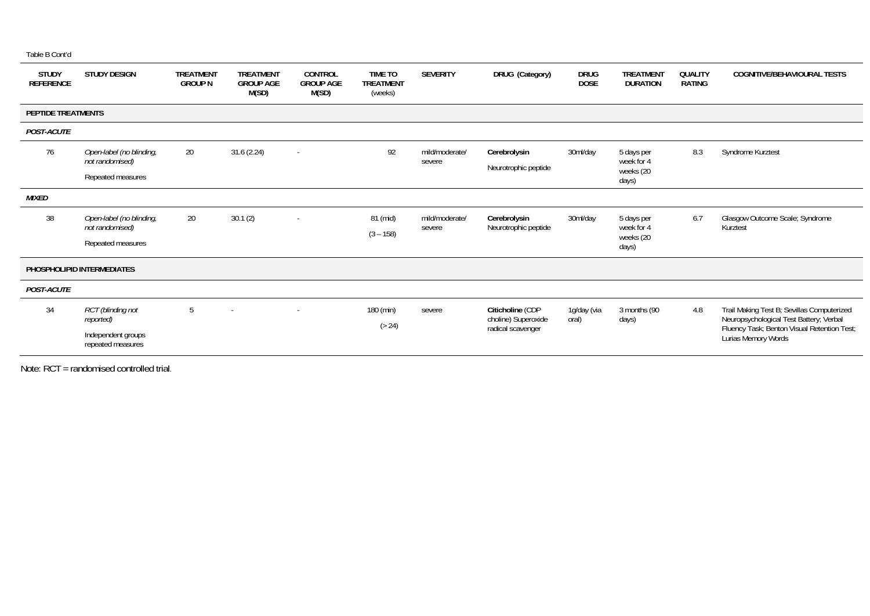| <b>STUDY</b><br><b>REFERENCE</b> | <b>STUDY DESIGN</b>                                                              | <b>TREATMENT</b><br><b>GROUP N</b> | <b>TREATMENT</b><br><b>GROUP AGE</b><br>M(SD) | CONTROL<br><b>GROUP AGE</b><br>M(SD) | <b>TIME TO</b><br><b>TREATMENT</b><br>(weeks) | <b>SEVERITY</b>          | DRUG (Category)                                              | <b>DRUG</b><br><b>DOSE</b> | <b>TREATMENT</b><br><b>DURATION</b>            | QUALITY<br><b>RATING</b> | <b>COGNITIVE/BEHAVIOURAL TESTS</b>                                                                                                                          |
|----------------------------------|----------------------------------------------------------------------------------|------------------------------------|-----------------------------------------------|--------------------------------------|-----------------------------------------------|--------------------------|--------------------------------------------------------------|----------------------------|------------------------------------------------|--------------------------|-------------------------------------------------------------------------------------------------------------------------------------------------------------|
|                                  | <b>PEPTIDE TREATMENTS</b>                                                        |                                    |                                               |                                      |                                               |                          |                                                              |                            |                                                |                          |                                                                                                                                                             |
| <b>POST-ACUTE</b>                |                                                                                  |                                    |                                               |                                      |                                               |                          |                                                              |                            |                                                |                          |                                                                                                                                                             |
| 76                               | Open-label (no blinding,<br>not randomised)<br>Repeated measures                 | 20                                 | 31.6(2.24)                                    | $\sim$                               | 92                                            | mild/moderate/<br>severe | Cerebrolysin<br>Neurotrophic peptide                         | 30ml/day                   | 5 days per<br>week for 4<br>weeks (20<br>days) | 8.3                      | Syndrome Kurztest                                                                                                                                           |
| <b>MIXED</b>                     |                                                                                  |                                    |                                               |                                      |                                               |                          |                                                              |                            |                                                |                          |                                                                                                                                                             |
| 38                               | Open-label (no blinding,<br>not randomised)<br>Repeated measures                 | 20                                 | 30.1(2)                                       | $\overline{\phantom{a}}$             | 81 (mid)<br>$(3 - 158)$                       | mild/moderate/<br>severe | Cerebrolysin<br>Neurotrophic peptide                         | 30ml/day                   | 5 days per<br>week for 4<br>weeks (20<br>days) | 6.7                      | Glasgow Outcome Scale; Syndrome<br>Kurztest                                                                                                                 |
|                                  | PHOSPHOLIPID INTERMEDIATES                                                       |                                    |                                               |                                      |                                               |                          |                                                              |                            |                                                |                          |                                                                                                                                                             |
| POST-ACUTE                       |                                                                                  |                                    |                                               |                                      |                                               |                          |                                                              |                            |                                                |                          |                                                                                                                                                             |
| 34                               | <b>RCT</b> (blinding not<br>reported)<br>Independent groups<br>repeated measures | 5                                  | $\sim$                                        | $\overline{\phantom{a}}$             | 180 (min)<br>( > 24)                          | severe                   | Citicholine (CDP<br>choline) Superoxide<br>radical scavenger | 1g/day (via<br>oral)       | 3 months (90<br>days)                          | 4.8                      | Trail Making Test B; Sevillas Computerized<br>Neuropsychological Test Battery; Verbal<br>Fluency Task; Benton Visual Retention Test;<br>Lurias Memory Words |

Note: RCT = randomised controlled trial.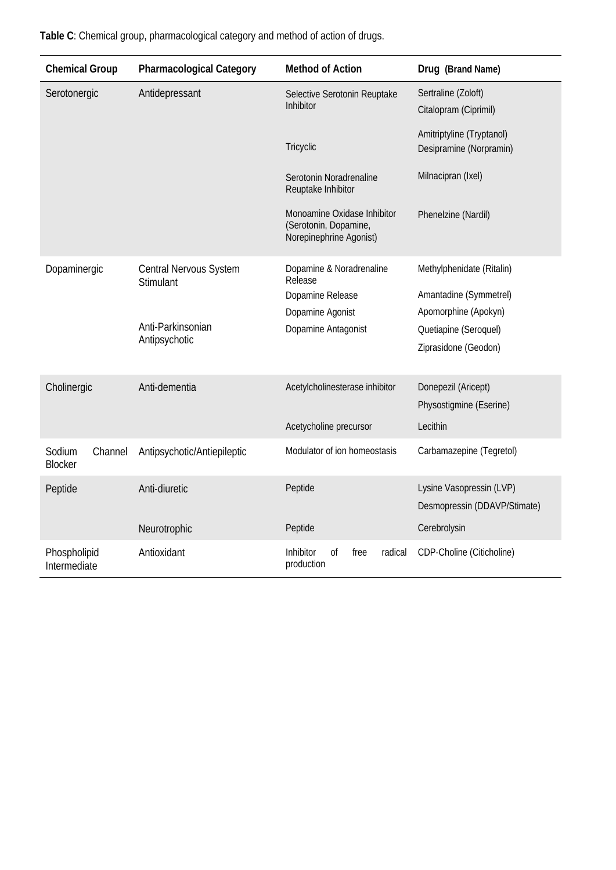| <b>Chemical Group</b>               | <b>Pharmacological Category</b> | <b>Method of Action</b>                                                         | Drug (Brand Name)                            |  |  |
|-------------------------------------|---------------------------------|---------------------------------------------------------------------------------|----------------------------------------------|--|--|
| Serotonergic                        | Antidepressant                  | Selective Serotonin Reuptake<br>Inhibitor                                       | Sertraline (Zoloft)<br>Citalopram (Ciprimil) |  |  |
|                                     |                                 | Tricyclic                                                                       |                                              |  |  |
|                                     |                                 | Serotonin Noradrenaline<br>Reuptake Inhibitor                                   | Milnacipran (Ixel)                           |  |  |
|                                     |                                 | Monoamine Oxidase Inhibitor<br>(Serotonin, Dopamine,<br>Norepinephrine Agonist) | Phenelzine (Nardil)                          |  |  |
| Dopaminergic                        | Central Nervous System          | Dopamine & Noradrenaline<br>Release                                             | Methylphenidate (Ritalin)                    |  |  |
|                                     | Stimulant                       | Dopamine Release                                                                | Amantadine (Symmetrel)                       |  |  |
|                                     |                                 | Dopamine Agonist                                                                | Apomorphine (Apokyn)                         |  |  |
|                                     | Anti-Parkinsonian               | Dopamine Antagonist                                                             | Quetiapine (Seroquel)                        |  |  |
|                                     | Antipsychotic                   |                                                                                 | Ziprasidone (Geodon)                         |  |  |
| Cholinergic                         | Anti-dementia                   | Acetylcholinesterase inhibitor                                                  | Donepezil (Aricept)                          |  |  |
|                                     |                                 |                                                                                 | Physostigmine (Eserine)                      |  |  |
|                                     |                                 | Acetycholine precursor                                                          | Lecithin                                     |  |  |
| Sodium<br>Channel<br><b>Blocker</b> | Antipsychotic/Antiepileptic     | Modulator of ion homeostasis                                                    | Carbamazepine (Tegretol)                     |  |  |
| Peptide                             | Anti-diuretic                   | Peptide                                                                         | Lysine Vasopressin (LVP)                     |  |  |
|                                     |                                 |                                                                                 | Desmopressin (DDAVP/Stimate)                 |  |  |
|                                     | Neurotrophic                    | Peptide                                                                         | Cerebrolysin                                 |  |  |
| Phospholipid<br>Intermediate        | Antioxidant                     | Inhibitor<br>radical<br>Οf<br>free<br>production                                | CDP-Choline (Citicholine)                    |  |  |

**Table C**: Chemical group, pharmacological category and method of action of drugs.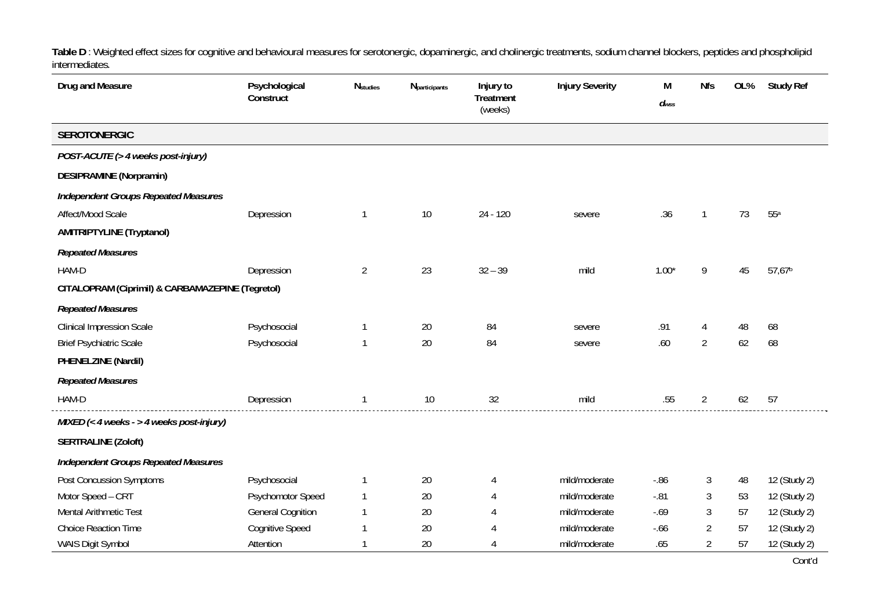**Table D** : Weighted effect sizes for cognitive and behavioural measures for serotonergic, dopaminergic, and cholinergic treatments, sodium channel blockers, peptides and phospholipid intermediates*.*

| Drug and Measure                                 | Psychological<br>Construct | <b>N</b> studies | <b>N</b> participants | Injury to<br>Treatment<br>(weeks) | <b>Injury Severity</b> | M<br>$d_{WSS}$ | <b>Nfs</b>     | OL% | <b>Study Ref</b>   |
|--------------------------------------------------|----------------------------|------------------|-----------------------|-----------------------------------|------------------------|----------------|----------------|-----|--------------------|
| <b>SEROTONERGIC</b>                              |                            |                  |                       |                                   |                        |                |                |     |                    |
| POST-ACUTE (> 4 weeks post-injury)               |                            |                  |                       |                                   |                        |                |                |     |                    |
| <b>DESIPRAMINE (Norpramin)</b>                   |                            |                  |                       |                                   |                        |                |                |     |                    |
| <b>Independent Groups Repeated Measures</b>      |                            |                  |                       |                                   |                        |                |                |     |                    |
| Affect/Mood Scale                                | Depression                 | $\mathbf 1$      | $10$                  | $24 - 120$                        | severe                 | .36            | -1             | 73  | 55a                |
| <b>AMITRIPTYLINE (Tryptanol)</b>                 |                            |                  |                       |                                   |                        |                |                |     |                    |
| <b>Repeated Measures</b>                         |                            |                  |                       |                                   |                        |                |                |     |                    |
| HAM-D                                            | Depression                 | $\overline{2}$   | 23                    | $32 - 39$                         | mild                   | $1.00*$        | 9              | 45  | 57,67 <sup>b</sup> |
| CITALOPRAM (Ciprimil) & CARBAMAZEPINE (Tegretol) |                            |                  |                       |                                   |                        |                |                |     |                    |
| <b>Repeated Measures</b>                         |                            |                  |                       |                                   |                        |                |                |     |                    |
| <b>Clinical Impression Scale</b>                 | Psychosocial               |                  | 20                    | 84                                | severe                 | .91            | 4              | 48  | 68                 |
| <b>Brief Psychiatric Scale</b>                   | Psychosocial               | 1                | 20                    | 84                                | severe                 | .60            | $\overline{2}$ | 62  | 68                 |
| PHENELZINE (Nardil)                              |                            |                  |                       |                                   |                        |                |                |     |                    |
| <b>Repeated Measures</b>                         |                            |                  |                       |                                   |                        |                |                |     |                    |
| HAM-D                                            | Depression                 | $\mathbf 1$      | $10$                  | 32                                | mild                   | .55            | $\overline{2}$ | 62  | 57                 |
| MIXED (< 4 weeks - > 4 weeks post-injury)        |                            |                  |                       |                                   |                        |                |                |     |                    |
| <b>SERTRALINE (Zoloft)</b>                       |                            |                  |                       |                                   |                        |                |                |     |                    |
| <b>Independent Groups Repeated Measures</b>      |                            |                  |                       |                                   |                        |                |                |     |                    |
| Post Concussion Symptoms                         | Psychosocial               |                  | $20\,$                | 4                                 | mild/moderate          | $-0.86$        | 3              | 48  | 12 (Study 2)       |
| Motor Speed - CRT                                | Psychomotor Speed          | $\mathbf{1}$     | 20                    |                                   | mild/moderate          | $-.81$         | 3              | 53  | 12 (Study 2)       |
| <b>Mental Arithmetic Test</b>                    | <b>General Cognition</b>   | 1                | 20                    |                                   | mild/moderate          | $-0.69$        | 3              | 57  | 12 (Study 2)       |
| <b>Choice Reaction Time</b>                      | <b>Cognitive Speed</b>     |                  | 20                    |                                   | mild/moderate          | $-0.66$        | $\overline{2}$ | 57  | 12 (Study 2)       |
| WAIS Digit Symbol                                | Attention                  |                  | 20                    |                                   | mild/moderate          | .65            | $\overline{2}$ | 57  | 12 (Study 2)       |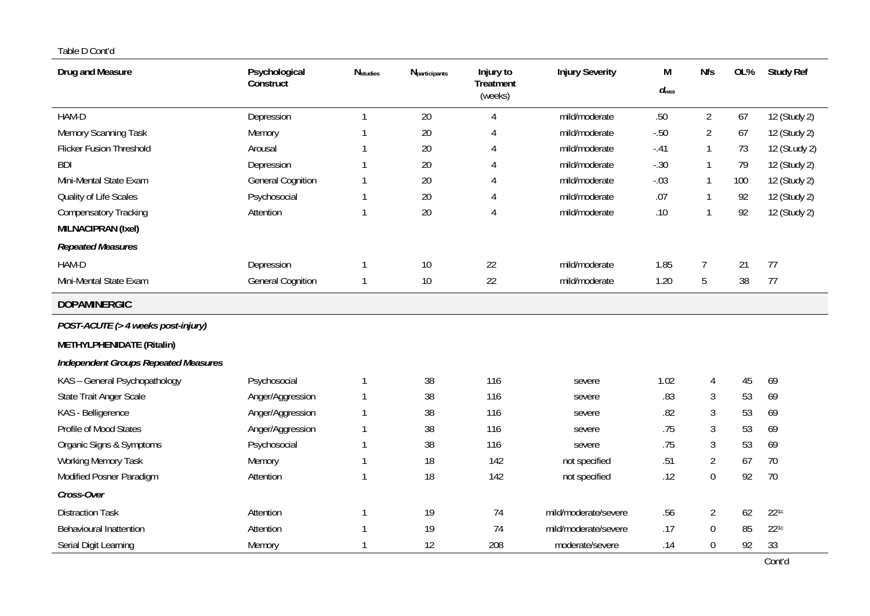| Drug and Measure                            | Psychological<br>Construct | <b>N</b> studies | Nparticipants | Injury to<br>Treatment<br>(weeks) | <b>Injury Severity</b> | M<br>$d_{wss}$ | Nfs            | OL% | <b>Study Ref</b> |
|---------------------------------------------|----------------------------|------------------|---------------|-----------------------------------|------------------------|----------------|----------------|-----|------------------|
| HAM-D                                       | Depression                 | 1                | 20            | 4                                 | mild/moderate          | .50            | $\overline{2}$ | 67  | 12 (Study 2)     |
| Memory Scanning Task                        | Memory                     | $\mathbf{1}$     | 20            | 4                                 | mild/moderate          | $-.50$         | $\overline{2}$ | 67  | 12 (Study 2)     |
| <b>Flicker Fusion Threshold</b>             | Arousal                    |                  | 20            | 4                                 | mild/moderate          | $-.41$         | 1              | 73  | 12 (St.udy 2)    |
| <b>BDI</b>                                  | Depression                 |                  | 20            | 4                                 | mild/moderate          | $-.30$         | $\mathbf{1}$   | 79  | 12 (Study 2)     |
| Mini-Mental State Exam                      | <b>General Cognition</b>   | 1                | 20            | 4                                 | mild/moderate          | $-.03$         | $\mathbf{1}$   | 100 | 12 (Study 2)     |
| Quality of Life Scales                      | Psychosocial               | 1                | 20            | 4                                 | mild/moderate          | .07            | -1             | 92  | 12 (Study 2)     |
| <b>Compensatory Tracking</b>                | Attention                  | 1                | 20            | 4                                 | mild/moderate          | .10            | $\mathbf{1}$   | 92  | 12 (Study 2)     |
| MILNACIPRAN (Ixel)                          |                            |                  |               |                                   |                        |                |                |     |                  |
| <b>Repeated Measures</b>                    |                            |                  |               |                                   |                        |                |                |     |                  |
| HAM-D                                       | Depression                 |                  | $10$          | 22                                | mild/moderate          | 1.85           | $\overline{7}$ | 21  | 77               |
| Mini-Mental State Exam                      | <b>General Cognition</b>   | $\mathbf 1$      | 10            | 22                                | mild/moderate          | 1.20           | 5              | 38  | 77               |
| <b>DOPAMINERGIC</b>                         |                            |                  |               |                                   |                        |                |                |     |                  |
| POST-ACUTE (> 4 weeks post-injury)          |                            |                  |               |                                   |                        |                |                |     |                  |
| METHYLPHENIDATE (Ritalin)                   |                            |                  |               |                                   |                        |                |                |     |                  |
| <b>Independent Groups Repeated Measures</b> |                            |                  |               |                                   |                        |                |                |     |                  |
| KAS - General Psychopathology               | Psychosocial               | 1                | 38            | 116                               | severe                 | 1.02           | 4              | 45  | 69               |
| State Trait Anger Scale                     | Anger/Aggression           | $\mathbf{1}$     | 38            | 116                               | severe                 | .83            | 3              | 53  | 69               |
| KAS - Belligerence                          | Anger/Aggression           | $\mathbf 1$      | 38            | 116                               | severe                 | .82            | 3              | 53  | 69               |
| Profile of Mood States                      | Anger/Aggression           | 1                | 38            | 116                               | severe                 | .75            | $\mathfrak{Z}$ | 53  | 69               |
| Organic Signs & Symptoms                    | Psychosocial               | 1                | 38            | 116                               | severe                 | .75            | $\mathfrak{Z}$ | 53  | 69               |
| <b>Working Memory Task</b>                  | Memory                     | $\mathbf{1}$     | 18            | 142                               | not specified          | .51            | $\overline{2}$ | 67  | 70               |
| Modified Posner Paradigm                    | Attention                  | $\mathbf{1}$     | 18            | 142                               | not specified          | .12            | $\mathbf 0$    | 92  | 70               |
| Cross-Over                                  |                            |                  |               |                                   |                        |                |                |     |                  |
| <b>Distraction Task</b>                     | Attention                  | 1                | 19            | 74                                | mild/moderate/severe   | .56            | $\overline{2}$ | 62  | $22^{1c}$        |
| Behavioural Inattention                     | Attention                  | 1                | 19            | 74                                | mild/moderate/severe   | .17            | $\mathbf 0$    | 85  | $22^{1c}$        |
| Serial Digit Learning                       | Memory                     |                  | 12            | 208                               | moderate/severe        | .14            | $\mathbf 0$    | 92  | 33               |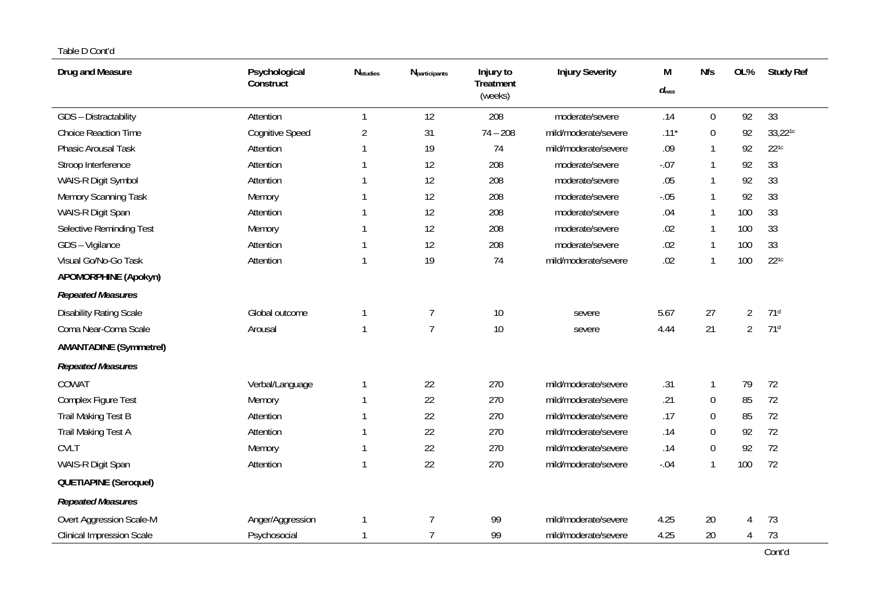| Drug and Measure               | Psychological<br>Construct | <b>N</b> studies | <b>N</b> participants | Injury to<br>Treatment<br>(weeks) | <b>Injury Severity</b> | М<br>$d_{\text{wss}}$ | <b>Nfs</b>       | OL%            | <b>Study Ref</b> |
|--------------------------------|----------------------------|------------------|-----------------------|-----------------------------------|------------------------|-----------------------|------------------|----------------|------------------|
| GDS - Distractability          | Attention                  | $\mathbf{1}$     | 12                    | 208                               | moderate/severe        | .14                   | $\boldsymbol{0}$ | 92             | 33               |
| <b>Choice Reaction Time</b>    | <b>Cognitive Speed</b>     | $\overline{2}$   | 31                    | $74 - 208$                        | mild/moderate/severe   | $.11*$                | 0                | 92             | 33,221c          |
| Phasic Arousal Task            | Attention                  | $\mathbf{1}$     | 19                    | 74                                | mild/moderate/severe   | .09                   | 1                | 92             | $22^{1c}$        |
| Stroop Interference            | Attention                  | $\mathbf{1}$     | 12                    | 208                               | moderate/severe        | $-.07$                | 1                | 92             | 33               |
| WAIS-R Digit Symbol            | Attention                  | $\mathbf{1}$     | 12                    | 208                               | moderate/severe        | .05                   | 1                | 92             | 33               |
| Memory Scanning Task           | Memory                     | $\mathbf{1}$     | 12                    | 208                               | moderate/severe        | $-.05$                | 1                | 92             | 33               |
| WAIS-R Digit Span              | Attention                  | $\mathbf{1}$     | 12                    | 208                               | moderate/severe        | .04                   | 1                | 100            | 33               |
| Selective Reminding Test       | Memory                     | $\mathbf{1}$     | 12                    | 208                               | moderate/severe        | .02                   | 1                | 100            | 33               |
| GDS - Vigilance                | Attention                  | 1                | 12                    | 208                               | moderate/severe        | .02                   | 1                | 100            | 33               |
| Visual Go/No-Go Task           | Attention                  | $\mathbf{1}$     | 19                    | 74                                | mild/moderate/severe   | .02                   | 1                | 100            | $22^{1c}$        |
| <b>APOMORPHINE (Apokyn)</b>    |                            |                  |                       |                                   |                        |                       |                  |                |                  |
| <b>Repeated Measures</b>       |                            |                  |                       |                                   |                        |                       |                  |                |                  |
| <b>Disability Rating Scale</b> | Global outcome             | $\mathbf{1}$     | $\overline{7}$        | 10                                | severe                 | 5.67                  | 27               | $\overline{2}$ | 71 <sup>d</sup>  |
| Coma Near-Coma Scale           | Arousal                    | $\mathbf{1}$     | $\overline{7}$        | 10                                | severe                 | 4.44                  | 21               | $\overline{2}$ | 71 <sup>d</sup>  |
| <b>AMANTADINE (Symmetrel)</b>  |                            |                  |                       |                                   |                        |                       |                  |                |                  |
| <b>Repeated Measures</b>       |                            |                  |                       |                                   |                        |                       |                  |                |                  |
| COWAT                          | Verbal/Language            | $\mathbf{1}$     | 22                    | 270                               | mild/moderate/severe   | .31                   | 1                | 79             | 72               |
| Complex Figure Test            | Memory                     | 1                | 22                    | 270                               | mild/moderate/severe   | .21                   | 0                | 85             | 72               |
| <b>Trail Making Test B</b>     | Attention                  | $\mathbf{1}$     | 22                    | 270                               | mild/moderate/severe   | .17                   | $\boldsymbol{0}$ | 85             | 72               |
| Trail Making Test A            | Attention                  | 1                | 22                    | 270                               | mild/moderate/severe   | .14                   | $\boldsymbol{0}$ | 92             | 72               |
| <b>CVLT</b>                    | Memory                     | $\mathbf{1}$     | 22                    | 270                               | mild/moderate/severe   | .14                   | 0                | 92             | 72               |
| WAIS-R Digit Span              | Attention                  | $\mathbf{1}$     | 22                    | 270                               | mild/moderate/severe   | $-.04$                | 1                | 100            | 72               |
| <b>QUETIAPINE (Seroquel)</b>   |                            |                  |                       |                                   |                        |                       |                  |                |                  |
| <b>Repeated Measures</b>       |                            |                  |                       |                                   |                        |                       |                  |                |                  |
| Overt Aggression Scale-M       | Anger/Aggression           | -1               | $\overline{7}$        | 99                                | mild/moderate/severe   | 4.25                  | 20               | $\overline{4}$ | 73               |
| Clinical Impression Scale      | Psychosocial               | $\mathbf{1}$     | $\overline{7}$        | 99                                | mild/moderate/severe   | 4.25                  | 20               | 4              | 73               |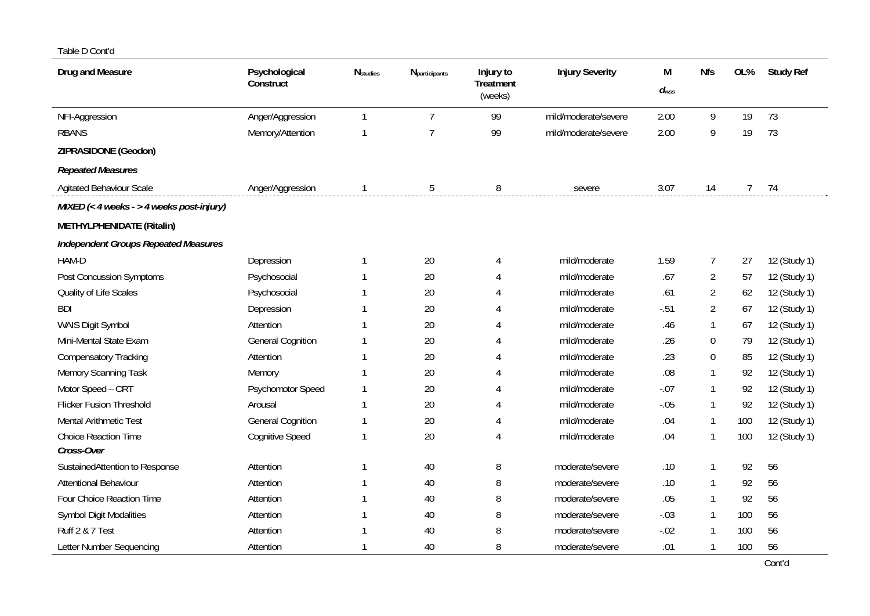| Drug and Measure                            | Psychological<br>Construct | <b>N</b> studies | <b>N</b> participants | Injury to<br><b>Treatment</b><br>(weeks) | <b>Injury Severity</b> | М<br>$d_{WSS}$ | <b>Nfs</b>     | OL%         | <b>Study Ref</b> |
|---------------------------------------------|----------------------------|------------------|-----------------------|------------------------------------------|------------------------|----------------|----------------|-------------|------------------|
| NFI-Aggression                              | Anger/Aggression           |                  | $7\overline{ }$       | 99                                       | mild/moderate/severe   | 2.00           | 9              | 19          | 73               |
| <b>RBANS</b>                                | Memory/Attention           |                  | $\overline{7}$        | 99                                       | mild/moderate/severe   | 2.00           | 9              | 19          | 73               |
| ZIPRASIDONE (Geodon)                        |                            |                  |                       |                                          |                        |                |                |             |                  |
| <b>Repeated Measures</b>                    |                            |                  |                       |                                          |                        |                |                |             |                  |
| <b>Agitated Behaviour Scale</b>             | Anger/Aggression           | $\mathbf{1}$     | 5                     | 8                                        | severe                 | 3.07           | 14             | $7^{\circ}$ | 74               |
| MIXED (< 4 weeks - > 4 weeks post-injury)   |                            |                  |                       |                                          |                        |                |                |             |                  |
| METHYLPHENIDATE (Ritalin)                   |                            |                  |                       |                                          |                        |                |                |             |                  |
| <b>Independent Groups Repeated Measures</b> |                            |                  |                       |                                          |                        |                |                |             |                  |
| HAM-D                                       | Depression                 |                  | 20                    | 4                                        | mild/moderate          | 1.59           | $\overline{7}$ | 27          | 12 (Study 1)     |
| Post Concussion Symptoms                    | Psychosocial               |                  | 20                    |                                          | mild/moderate          | .67            | $\overline{2}$ | 57          | 12 (Study 1)     |
| Quality of Life Scales                      | Psychosocial               |                  | 20                    |                                          | mild/moderate          | .61            | $\overline{2}$ | 62          | 12 (Study 1)     |
| <b>BDI</b>                                  | Depression                 |                  | 20                    |                                          | mild/moderate          | $-.51$         | 2              | 67          | 12 (Study 1)     |
| WAIS Digit Symbol                           | Attention                  |                  | 20                    |                                          | mild/moderate          | .46            |                | 67          | 12 (Study 1)     |
| Mini-Mental State Exam                      | <b>General Cognition</b>   |                  | 20                    | 4                                        | mild/moderate          | .26            | $\mathbf{0}$   | 79          | 12 (Study 1)     |
| <b>Compensatory Tracking</b>                | Attention                  |                  | 20                    |                                          | mild/moderate          | .23            | $\Omega$       | 85          | 12 (Study 1)     |
| Memory Scanning Task                        | Memory                     |                  | 20                    |                                          | mild/moderate          | .08            |                | 92          | 12 (Study 1)     |
| Motor Speed - CRT                           | Psychomotor Speed          |                  | 20                    |                                          | mild/moderate          | $-.07$         |                | 92          | 12 (Study 1)     |
| <b>Flicker Fusion Threshold</b>             | Arousal                    |                  | 20                    |                                          | mild/moderate          | $-.05$         |                | 92          | 12 (Study 1)     |
| Mental Arithmetic Test                      | <b>General Cognition</b>   |                  | 20                    |                                          | mild/moderate          | .04            |                | 100         | 12 (Study 1)     |
| Choice Reaction Time                        | Cognitive Speed            |                  | 20                    |                                          | mild/moderate          | .04            |                | 100         | 12 (Study 1)     |
| Cross-Over                                  |                            |                  |                       |                                          |                        |                |                |             |                  |
| SustainedAttention to Response              | Attention                  |                  | 40                    | 8                                        | moderate/severe        | .10            |                | 92          | 56               |
| Attentional Behaviour                       | Attention                  |                  | 40                    | 8                                        | moderate/severe        | .10            |                | 92          | 56               |
| Four Choice Reaction Time                   | Attention                  |                  | 40                    | 8                                        | moderate/severe        | .05            |                | 92          | 56               |
| <b>Symbol Digit Modalities</b>              | Attention                  |                  | 40                    | 8                                        | moderate/severe        | $-.03$         |                | 100         | 56               |
| Ruff 2 & 7 Test                             | Attention                  |                  | 40                    | 8                                        | moderate/severe        | $-.02$         |                | 100         | 56               |
| Letter Number Sequencing                    | Attention                  |                  | 40                    | 8                                        | moderate/severe        | .01            |                | 100         | 56               |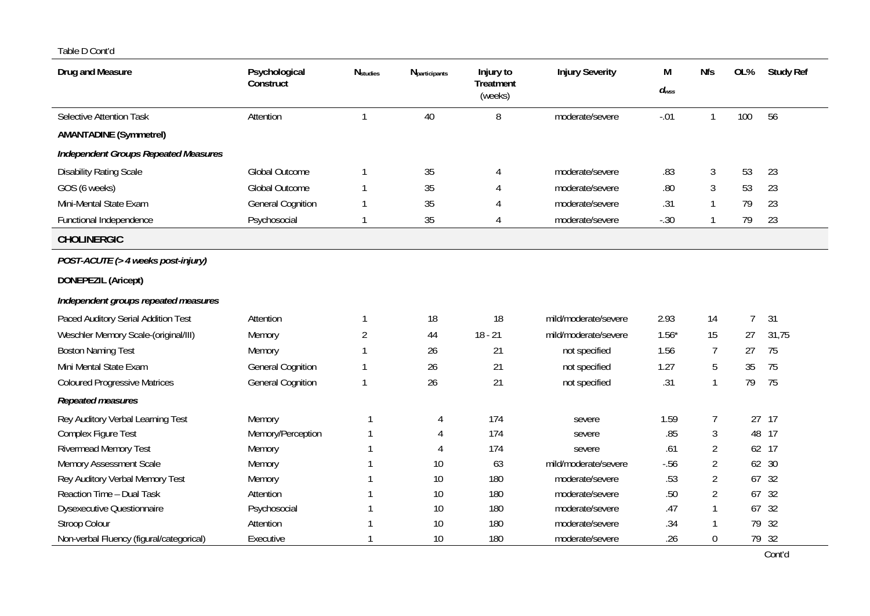| Drug and Measure                            | Psychological<br>Construct | $N_{\footnotesize\textit{studies}}$ | Nparticipants | Injury to<br><b>Treatment</b><br>(weeks) | <b>Injury Severity</b> | M<br>$d_{wss}$ | <b>Nfs</b>     | OL%            | <b>Study Ref</b> |
|---------------------------------------------|----------------------------|-------------------------------------|---------------|------------------------------------------|------------------------|----------------|----------------|----------------|------------------|
| <b>Selective Attention Task</b>             | Attention                  | -1                                  | 40            | 8                                        | moderate/severe        | $-.01$         | $\mathbf{1}$   | 100            | 56               |
| <b>AMANTADINE (Symmetrel)</b>               |                            |                                     |               |                                          |                        |                |                |                |                  |
| <b>Independent Groups Repeated Measures</b> |                            |                                     |               |                                          |                        |                |                |                |                  |
| <b>Disability Rating Scale</b>              | <b>Global Outcome</b>      |                                     | 35            | 4                                        | moderate/severe        | .83            | $\mathfrak{Z}$ | 53             | 23               |
| GOS (6 weeks)                               | <b>Global Outcome</b>      |                                     | 35            | 4                                        | moderate/severe        | .80            | 3              | 53             | 23               |
| Mini-Mental State Exam                      | <b>General Cognition</b>   |                                     | 35            |                                          | moderate/severe        | .31            | 1              | 79             | 23               |
| Functional Independence                     | Psychosocial               |                                     | 35            | 4                                        | moderate/severe        | $-.30$         | 1              | 79             | 23               |
| <b>CHOLINERGIC</b>                          |                            |                                     |               |                                          |                        |                |                |                |                  |
| POST-ACUTE (> 4 weeks post-injury)          |                            |                                     |               |                                          |                        |                |                |                |                  |
| DONEPEZIL (Aricept)                         |                            |                                     |               |                                          |                        |                |                |                |                  |
| Independent groups repeated measures        |                            |                                     |               |                                          |                        |                |                |                |                  |
| Paced Auditory Serial Addition Test         | Attention                  | 1                                   | 18            | 18                                       | mild/moderate/severe   | 2.93           | 14             | $\overline{7}$ | 31               |
| Weschler Memory Scale-(original/III)        | Memory                     | 2                                   | 44            | $18 - 21$                                | mild/moderate/severe   | $1.56*$        | 15             | 27             | 31,75            |
| <b>Boston Naming Test</b>                   | Memory                     |                                     | 26            | 21                                       | not specified          | 1.56           | $\overline{7}$ | 27             | 75               |
| Mini Mental State Exam                      | <b>General Cognition</b>   |                                     | 26            | 21                                       | not specified          | 1.27           | 5              | 35             | 75               |
| <b>Coloured Progressive Matrices</b>        | <b>General Cognition</b>   |                                     | 26            | 21                                       | not specified          | .31            | 1              | 79             | 75               |
| Repeated measures                           |                            |                                     |               |                                          |                        |                |                |                |                  |
| Rey Auditory Verbal Learning Test           | Memory                     |                                     | 4             | 174                                      | severe                 | 1.59           | $\overline{7}$ | 27             | 17               |
| Complex Figure Test                         | Memory/Perception          |                                     | 4             | 174                                      | severe                 | .85            | 3              | 48             | 17               |
| <b>Rivermead Memory Test</b>                | Memory                     |                                     | $\Delta$      | 174                                      | severe                 | .61            | $\overline{2}$ | 62             | 17               |
| Memory Assessment Scale                     | Memory                     |                                     | 10            | 63                                       | mild/moderate/severe   | $-.56$         | $\overline{2}$ | 62             | 30               |
| Rey Auditory Verbal Memory Test             | Memory                     |                                     | 10            | 180                                      | moderate/severe        | .53            | $\overline{2}$ | 67             | 32               |
| Reaction Time - Dual Task                   | Attention                  |                                     | 10            | 180                                      | moderate/severe        | .50            | $\overline{2}$ | 67             | 32               |
| <b>Dysexecutive Questionnaire</b>           | Psychosocial               |                                     | 10            | 180                                      | moderate/severe        | .47            |                | 67             | 32               |
| Stroop Colour                               | Attention                  |                                     | 10            | 180                                      | moderate/severe        | .34            |                | 79             | 32               |
| Non-verbal Fluency (figural/categorical)    | Executive                  |                                     | 10            | 180                                      | moderate/severe        | .26            | $\Omega$       |                | 79 32            |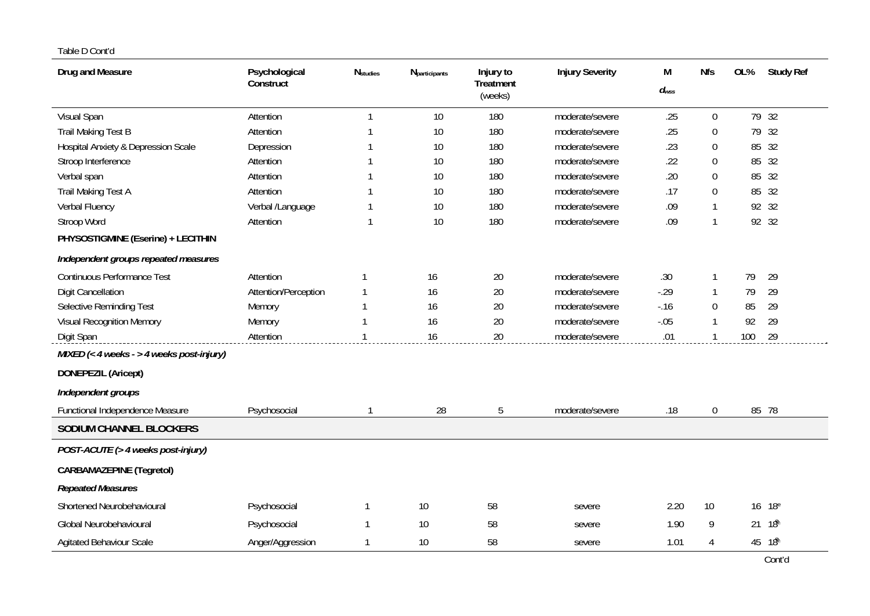| Drug and Measure                               | Psychological<br>Construct | <b>N</b> studies | Nparticipants | Injury to<br>Treatment<br>(weeks) | <b>Injury Severity</b> | М<br>$d_{\mathsf{wss}}$ | <b>Nfs</b>       | OL% | <b>Study Ref</b> |
|------------------------------------------------|----------------------------|------------------|---------------|-----------------------------------|------------------------|-------------------------|------------------|-----|------------------|
| Visual Span                                    | Attention                  | 1                | 10            | 180                               | moderate/severe        | .25                     | $\overline{0}$   |     | 79 32            |
| <b>Trail Making Test B</b>                     | Attention                  |                  | 10            | 180                               | moderate/severe        | .25                     | $\boldsymbol{0}$ | 79  | 32               |
| <b>Hospital Anxiety &amp; Depression Scale</b> | Depression                 |                  | 10            | 180                               | moderate/severe        | .23                     | $\boldsymbol{0}$ | 85  | 32               |
| Stroop Interference                            | Attention                  |                  | 10            | 180                               | moderate/severe        | .22                     | $\Omega$         | 85  | 32               |
| Verbal span                                    | Attention                  |                  | 10            | 180                               | moderate/severe        | .20                     | $\overline{0}$   | 85  | 32               |
| Trail Making Test A                            | Attention                  |                  | 10            | 180                               | moderate/severe        | .17                     | $\overline{0}$   | 85  | 32               |
| Verbal Fluency                                 | Verbal /Language           |                  | 10            | 180                               | moderate/severe        | .09                     | $\mathbf{1}$     | 92  | 32               |
| Stroop Word                                    | Attention                  | 1                | 10            | 180                               | moderate/severe        | .09                     | $\mathbf{1}$     |     | 92 32            |
| PHYSOSTIGMINE (Eserine) + LECITHIN             |                            |                  |               |                                   |                        |                         |                  |     |                  |
| Independent groups repeated measures           |                            |                  |               |                                   |                        |                         |                  |     |                  |
| <b>Continuous Performance Test</b>             | Attention                  |                  | 16            | 20                                | moderate/severe        | .30                     | $\mathbf 1$      | 79  | 29               |
| <b>Digit Cancellation</b>                      | Attention/Perception       |                  | 16            | 20                                | moderate/severe        | $-29$                   | $\mathbf 1$      | 79  | 29               |
| Selective Reminding Test                       | Memory                     |                  | 16            | 20                                | moderate/severe        | $-16$                   | $\overline{0}$   | 85  | 29               |
| Visual Recognition Memory                      | Memory                     |                  | 16            | 20                                | moderate/severe        | $-.05$                  |                  | 92  | 29               |
| Digit Span                                     | Attention                  |                  | 16            | 20                                | moderate/severe        | .01                     |                  | 100 | 29               |
| MIXED $(<$ 4 weeks - > 4 weeks post-injury)    |                            |                  |               |                                   |                        |                         |                  |     |                  |
| <b>DONEPEZIL (Aricept)</b>                     |                            |                  |               |                                   |                        |                         |                  |     |                  |
| Independent groups                             |                            |                  |               |                                   |                        |                         |                  |     |                  |
| Functional Independence Measure                | Psychosocial               |                  | 28            | 5                                 | moderate/severe        | .18                     | $\boldsymbol{0}$ | 85  | 78               |
| SODIUM CHANNEL BLOCKERS                        |                            |                  |               |                                   |                        |                         |                  |     |                  |
| POST-ACUTE (> 4 weeks post-injury)             |                            |                  |               |                                   |                        |                         |                  |     |                  |
| <b>CARBAMAZEPINE (Tegretol)</b>                |                            |                  |               |                                   |                        |                         |                  |     |                  |
| <b>Repeated Measures</b>                       |                            |                  |               |                                   |                        |                         |                  |     |                  |
| Shortened Neurobehavioural                     | Psychosocial               | 1                | 10            | 58                                | severe                 | 2.20                    | 10               | 16  | 18 <sup>e</sup>  |
| Global Neurobehavioural                        | Psychosocial               | 1                | 10            | 58                                | severe                 | 1.90                    | 9                | 21  | 18ි              |
| <b>Agitated Behaviour Scale</b>                | Anger/Aggression           |                  | 10            | 58                                | severe                 | 1.01                    | 4                |     | 45 18            |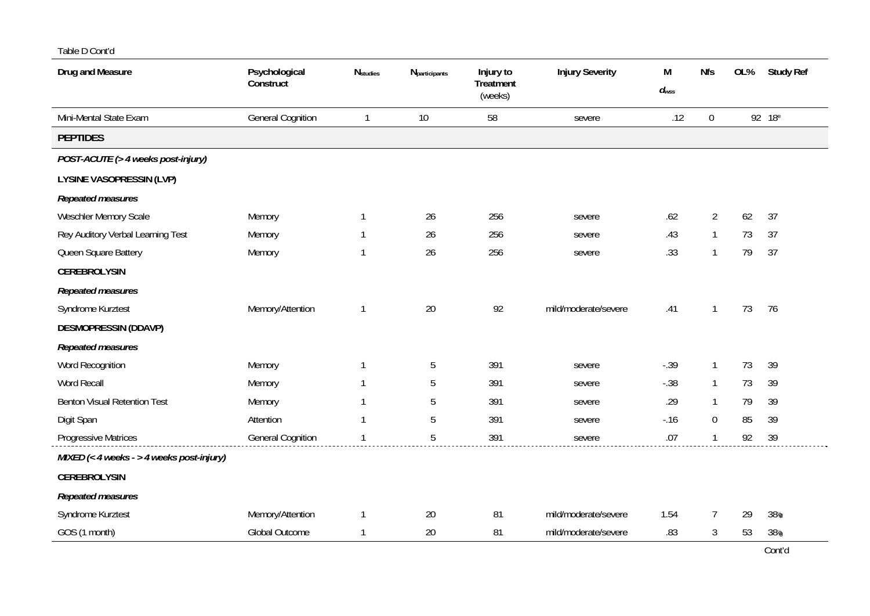| Drug and Measure                          | Psychological<br>Construct | <b>N</b> studies | Nparticipants | Injury to<br><b>Treatment</b><br>(weeks) | <b>Injury Severity</b> | М<br>$d_{\textit{wss}}$ | <b>Nfs</b>     | OL% | <b>Study Ref</b>   |
|-------------------------------------------|----------------------------|------------------|---------------|------------------------------------------|------------------------|-------------------------|----------------|-----|--------------------|
| Mini-Mental State Exam                    | <b>General Cognition</b>   | $\mathbf{1}$     | 10            | 58                                       | severe                 | .12                     | $\mathbf 0$    |     | 92 18 <sup>e</sup> |
| <b>PEPTIDES</b>                           |                            |                  |               |                                          |                        |                         |                |     |                    |
| POST-ACUTE (> 4 weeks post-injury)        |                            |                  |               |                                          |                        |                         |                |     |                    |
| LYSINE VASOPRESSIN (LVP)                  |                            |                  |               |                                          |                        |                         |                |     |                    |
| Repeated measures                         |                            |                  |               |                                          |                        |                         |                |     |                    |
| Weschler Memory Scale                     | Memory                     | $\mathbf{1}$     | 26            | 256                                      | severe                 | .62                     | $\overline{2}$ | 62  | 37                 |
| Rey Auditory Verbal Learning Test         | Memory                     | 1                | 26            | 256                                      | severe                 | .43                     | $\mathbf{1}$   | 73  | 37                 |
| Queen Square Battery                      | Memory                     |                  | 26            | 256                                      | severe                 | .33                     | $\mathbf{1}$   | 79  | 37                 |
| <b>CEREBROLYSIN</b>                       |                            |                  |               |                                          |                        |                         |                |     |                    |
| Repeated measures                         |                            |                  |               |                                          |                        |                         |                |     |                    |
| Syndrome Kurztest                         | Memory/Attention           | 1                | 20            | 92                                       | mild/moderate/severe   | .41                     | $\mathbf{1}$   | 73  | 76                 |
| <b>DESMOPRESSIN (DDAVP)</b>               |                            |                  |               |                                          |                        |                         |                |     |                    |
| Repeated measures                         |                            |                  |               |                                          |                        |                         |                |     |                    |
| Word Recognition                          | Memory                     | 1                | 5             | 391                                      | severe                 | $-.39$                  | 1              | 73  | 39                 |
| Word Recall                               | Memory                     |                  | 5             | 391                                      | severe                 | $-.38$                  | $\mathbf{1}$   | 73  | 39                 |
| <b>Benton Visual Retention Test</b>       | Memory                     | 1                | 5             | 391                                      | severe                 | .29                     | 1              | 79  | 39                 |
| Digit Span                                | Attention                  |                  | 5             | 391                                      | severe                 | $-16$                   | $\overline{0}$ | 85  | 39                 |
| Progressive Matrices                      | <b>General Cognition</b>   |                  | 5             | 391                                      | severe                 | .07                     | $\mathbf 1$    | 92  | 39                 |
| MIXED (< 4 weeks - > 4 weeks post-injury) |                            |                  |               |                                          |                        |                         |                |     |                    |
| <b>CEREBROLYSIN</b>                       |                            |                  |               |                                          |                        |                         |                |     |                    |
| Repeated measures                         |                            |                  |               |                                          |                        |                         |                |     |                    |
| Syndrome Kurztest                         | Memory/Attention           | $\mathbf{1}$     | 20            | 81                                       | mild/moderate/severe   | 1.54                    | $\overline{7}$ | 29  | 38 <sub>9</sub>    |
| GOS (1 month)                             | Global Outcome             | 1                | 20            | 81                                       | mild/moderate/severe   | .83                     | 3              | 53  | 38 <sub>9</sub>    |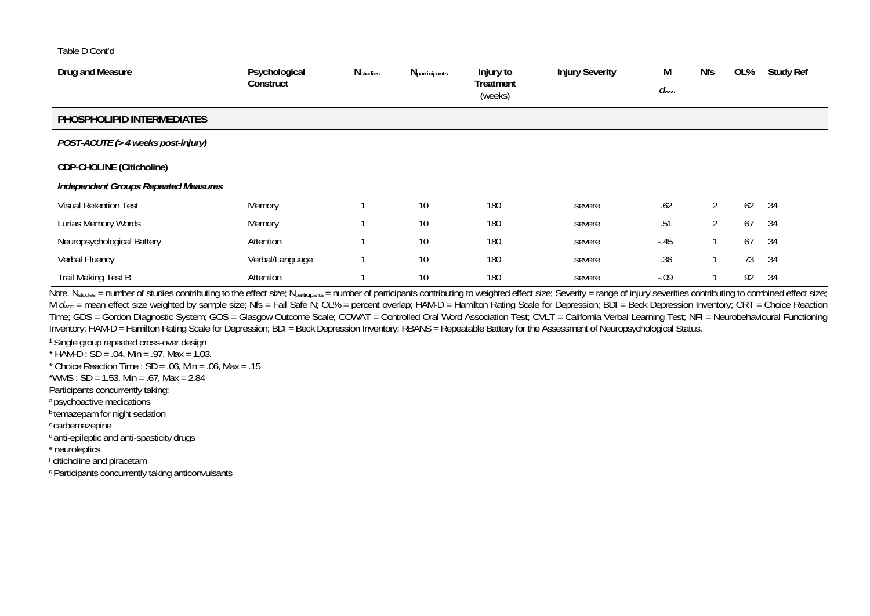| Drug and Measure                            | Psychological<br>Construct | <b>N</b> studies | <b>N</b> participants | Injury to<br><b>Treatment</b><br>(weeks) | <b>Injury Severity</b> | M<br>$d_{WSS}$ | <b>Nfs</b>     | OL% | <b>Study Ref</b> |
|---------------------------------------------|----------------------------|------------------|-----------------------|------------------------------------------|------------------------|----------------|----------------|-----|------------------|
| PHOSPHOLIPID INTERMEDIATES                  |                            |                  |                       |                                          |                        |                |                |     |                  |
| POST-ACUTE (> 4 weeks post-injury)          |                            |                  |                       |                                          |                        |                |                |     |                  |
| <b>CDP-CHOLINE (Citicholine)</b>            |                            |                  |                       |                                          |                        |                |                |     |                  |
| <b>Independent Groups Repeated Measures</b> |                            |                  |                       |                                          |                        |                |                |     |                  |
| <b>Visual Retention Test</b>                | Memory                     |                  | 10                    | 180                                      | severe                 | .62            | $\overline{2}$ | 62  | 34               |
| Lurias Memory Words                         | Memory                     |                  | 10                    | 180                                      | severe                 | .51            | $\overline{2}$ | 67  | 34               |
| Neuropsychological Battery                  | Attention                  |                  | 10                    | 180                                      | severe                 | $-45$          |                | 67  | 34               |
| Verbal Fluency                              | Verbal/Language            |                  | 10                    | 180                                      | severe                 | .36            |                | 73  | 34               |
| Trail Making Test B                         | Attention                  |                  | 10                    | 180                                      | severe                 | $-.09$         |                | 92  | 34               |

Note. N<sub>studies</sub> = number of studies contributing to the effect size; N<sub>participants</sub> = number of participants contributing to weighted effect size; Severity = range of injury severities contributing to combined effect si M *d<sub>wss</sub>* = mean effect size weighted by sample size; Nfs = Fail Safe N; OL% = percent overlap; HAM-D = Hamilton Rating Scale for Depression; BDI = Beck Depression Inventory; CRT = Choice Reaction Time; GDS = Gordon Diagnostic System; GOS = Glasgow Outcome Scale; COWAT = Controlled Oral Word Association Test; CVLT = California Verbal Learning Test; NFI = Neurobehavioural Functioning Inventory; HAM-D = Hamilton Rating Scale for Depression; BDI = Beck Depression Inventory; RBANS = Repeatable Battery for the Assessment of Neuropsychological Status.

1 Single group repeated cross-over design \*  $HAM-D : SD = .04$ , Min = .97, Max = 1.03.

\* Choice Reaction Time : SD = .06, Min = .06, Max = .15

\*WMS : SD = 1.53, Min = .67, Max = 2.84

Participants concurrently taking:

a psychoactive medications

**b** temazepam for night sedation

c carbemazepine

d anti-epileptic and anti-spasticity drugs

e neuroleptics

f citicholine and piracetam

g Participants concurrently taking anticonvulsants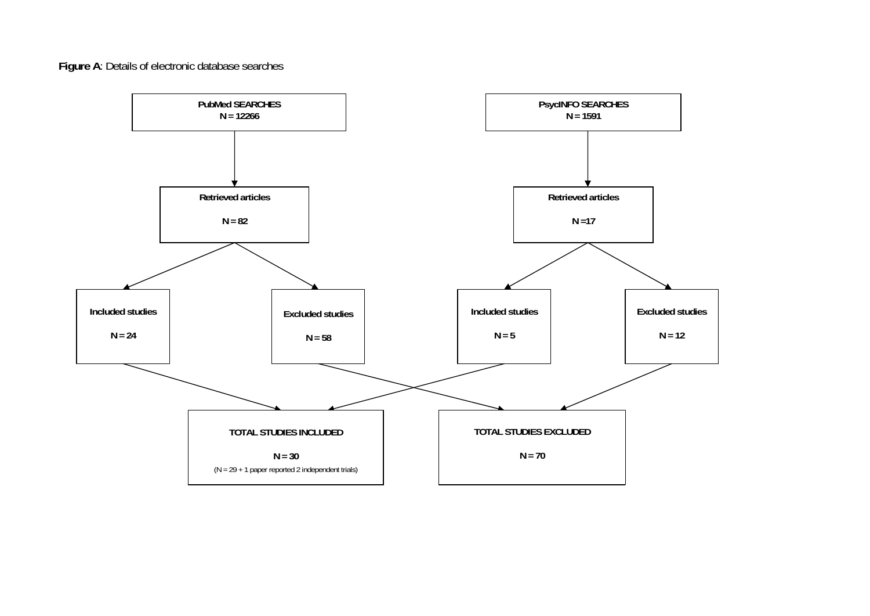# **Figure A**: Details of electronic database searches

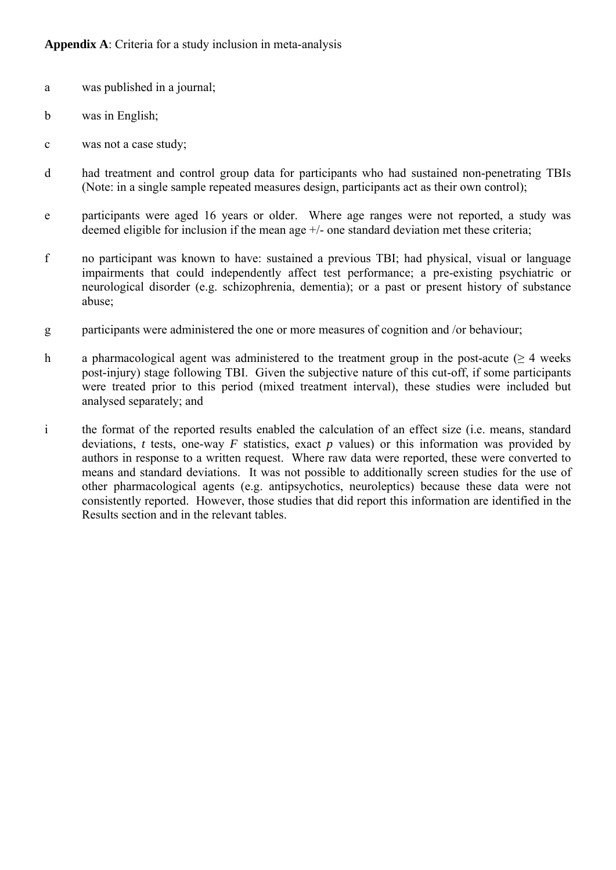- a was published in a journal;
- b was in English;
- c was not a case study;
- d had treatment and control group data for participants who had sustained non-penetrating TBIs (Note: in a single sample repeated measures design, participants act as their own control);
- e participants were aged 16 years or older. Where age ranges were not reported, a study was deemed eligible for inclusion if the mean age +/- one standard deviation met these criteria;
- f no participant was known to have: sustained a previous TBI; had physical, visual or language impairments that could independently affect test performance; a pre-existing psychiatric or neurological disorder (e.g. schizophrenia, dementia); or a past or present history of substance abuse;
- g participants were administered the one or more measures of cognition and /or behaviour;
- h a pharmacological agent was administered to the treatment group in the post-acute ( $\geq 4$  weeks post-injury) stage following TBI. Given the subjective nature of this cut-off, if some participants were treated prior to this period (mixed treatment interval), these studies were included but analysed separately; and
- i the format of the reported results enabled the calculation of an effect size (i.e. means, standard deviations, *t* tests, one-way *F* statistics, exact *p* values) or this information was provided by authors in response to a written request. Where raw data were reported, these were converted to means and standard deviations. It was not possible to additionally screen studies for the use of other pharmacological agents (e.g. antipsychotics, neuroleptics) because these data were not consistently reported. However, those studies that did report this information are identified in the Results section and in the relevant tables.